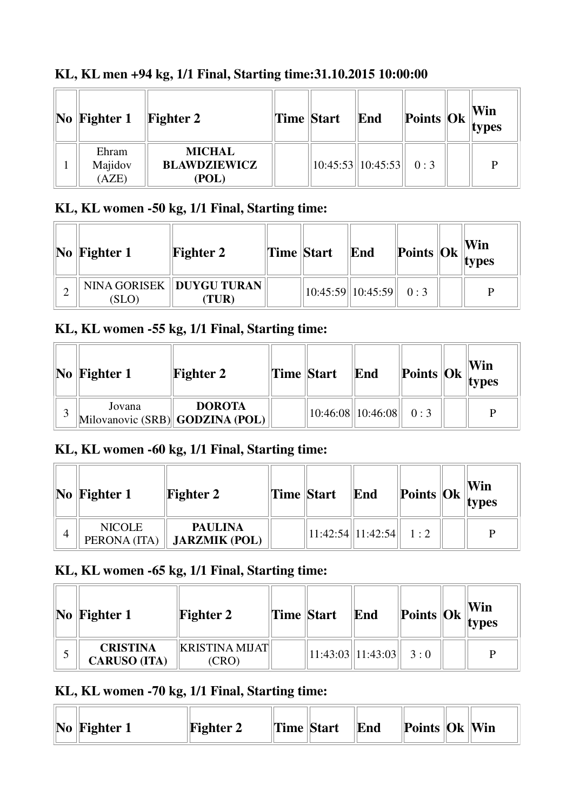| $\bf{No}$  Fighter 1      | <b>Fighter 2</b>                              | Time Start | End                           |  | Win<br>$\left \text{Points}\right \left \text{Ok}\right \right $ types |
|---------------------------|-----------------------------------------------|------------|-------------------------------|--|------------------------------------------------------------------------|
| Ehram<br>Majidov<br>(AZE) | <b>MICHAL</b><br><b>BLAWDZIEWICZ</b><br>(POL) |            | $10:45:53$   10:45:53   0 : 3 |  |                                                                        |

### **KL, KL men +94 kg, 1/1 Final, Starting time:31.10.2015 10:00:00**

# **KL, KL women -50 kg, 1/1 Final, Starting time:**

| $\vert$ No $\vert$ Fighter 1 | <b>Fighter 2</b>                   | <b>Time Start</b> | End                     | $\left\Vert \text{Points} \right\Vert \text{Ok} \left\Vert \text{VIII} \right\Vert$ | Win |
|------------------------------|------------------------------------|-------------------|-------------------------|-------------------------------------------------------------------------------------|-----|
| (SLO)                        | NINA GORISEK   DUYGU TURAN<br>TUR) |                   | 10:45:59  10:45:59  0:3 |                                                                                     | D   |

## **KL, KL women -55 kg, 1/1 Final, Starting time:**

|   | $\vert$ No $\vert$ Fighter 1 | <b>Fighter 2</b>                                 | Time Start | End                           |  | Win<br>$\blacksquare$  Points  Ok  types |
|---|------------------------------|--------------------------------------------------|------------|-------------------------------|--|------------------------------------------|
| 2 | Jovana                       | <b>DOROTA</b><br>Milovanovic (SRB) GODZINA (POL) |            | $10:46:08$   10:46:08   0 : 3 |  | D                                        |

### **KL, KL women -60 kg, 1/1 Final, Starting time:**

|                | $\vert$ No $\vert$ Fighter 1  | <b>Fighter 2</b>                       | <b>Time Start</b> | End                      |  | Win<br>$\  \text{Points} \  \text{Ok} \ _{{\text{types}}}$ |
|----------------|-------------------------------|----------------------------------------|-------------------|--------------------------|--|------------------------------------------------------------|
| $\overline{4}$ | <b>NICOLE</b><br>PERONA (ITA) | <b>PAULINA</b><br><b>JARZMIK (POL)</b> |                   | 11:42:54  11:42:54   1:2 |  | P                                                          |

#### **KL, KL women -65 kg, 1/1 Final, Starting time:**

| $\bf{No}$ Fighter 1                    | <b>Fighter 2</b>             | Time Start | End                                                   |  | Win<br><b>Points Ok</b> $\ $ Ok $\ $ <b>types</b> |
|----------------------------------------|------------------------------|------------|-------------------------------------------------------|--|---------------------------------------------------|
| <b>CRISTINA</b><br><b>CARUSO (ITA)</b> | <b>KRISTINA MIJAT</b><br>CRO |            | $\vert 11:43:03 \vert \vert 11:43:03 \vert \vert 3:0$ |  |                                                   |

# **KL, KL women -70 kg, 1/1 Final, Starting time:**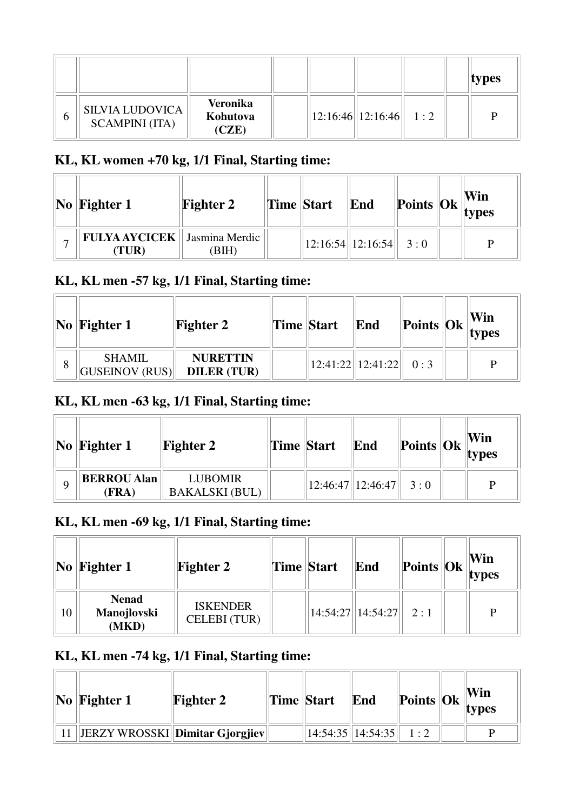|   |                                                 |                                      |  |                         |  | types |
|---|-------------------------------------------------|--------------------------------------|--|-------------------------|--|-------|
| h | <b>SILVIA LUDOVICA</b><br><b>SCAMPINI</b> (ITA) | <b>Veronika</b><br>Kohutova<br>(CZE) |  | 12:16:46  12:16:46  1:2 |  |       |

### **KL, KL women +70 kg, 1/1 Final, Starting time:**

| $\vert\mathbf{No}\vert\mathbf{Figure}\mathbf{1}\vert$ | <b>Fighter 2</b> | Time Start | End                     | $\frac{1}{2}$ Points $\left \frac{X}{Y}\right $ (Vin |   |
|-------------------------------------------------------|------------------|------------|-------------------------|------------------------------------------------------|---|
| <b>FULYA AYCICEK</b>   Jasmina Merdic<br>(TUR)        | BIH)             |            | 12:16:54  12:16:54  3:0 |                                                      | D |

# **KL, KL men -57 kg, 1/1 Final, Starting time:**

|   | $\vert$ No $\vert$ Fighter 1           | <b>Fighter 2</b>                      | Time Start | End                                                         |  | Win<br>$\frac{1}{2}$   Points   Ok   types |
|---|----------------------------------------|---------------------------------------|------------|-------------------------------------------------------------|--|--------------------------------------------|
| 8 | <b>SHAMIL</b><br><b>GUSEINOV (RUS)</b> | <b>NURETTIN</b><br><b>DILER (TUR)</b> |            | $\vert 12:41:22 \vert \vert 12:41:22 \vert \vert 0:3 \vert$ |  |                                            |

# **KL, KL men -63 kg, 1/1 Final, Starting time:**

| $\bf{No}$ Fighter 1         | <b>Fighter 2</b>                        | <b>Time Start</b> | End                                                                  |  | Win<br>$\ $ Points $\ $ Ok $\ $ <sub>Lypes</sub> |
|-----------------------------|-----------------------------------------|-------------------|----------------------------------------------------------------------|--|--------------------------------------------------|
| <b>BERROU Alan</b><br>(FRA) | <b>LUBOMIR</b><br><b>BAKALSKI</b> (BUL) |                   | $\left  12:46:47 \right  \left  12:46:47 \right  \left  3:0 \right $ |  | D                                                |

### **KL, KL men -69 kg, 1/1 Final, Starting time:**

|    | $\bf{No}$ Fighter 1                  | <b>Fighter 2</b>                       | Time Start | End                           | $\left\Vert \text{Points} \right\Vert \text{Ok}$ $\left\Vert \text{types} \right\Vert$ | Win |
|----|--------------------------------------|----------------------------------------|------------|-------------------------------|----------------------------------------------------------------------------------------|-----|
| 10 | <b>Nenad</b><br>Manojlovski<br>(MKD) | <b>ISKENDER</b><br><b>CELEBI</b> (TUR) |            | $14:54:27$   14:54:27   2 : 1 |                                                                                        | P   |

### **KL, KL men -74 kg, 1/1 Final, Starting time:**

| $\ No\ $ Fighter 1 | <b>Fighter 2</b>                 | Time Start | End                      | $\ $ Points $\ $ Ok $\ $ <sup>******</sup> | Win<br>types |
|--------------------|----------------------------------|------------|--------------------------|--------------------------------------------|--------------|
|                    | JERZY WROSSKI  Dimitar Gjorgjiev |            | 14:54:35  14:54:35   1:2 |                                            |              |